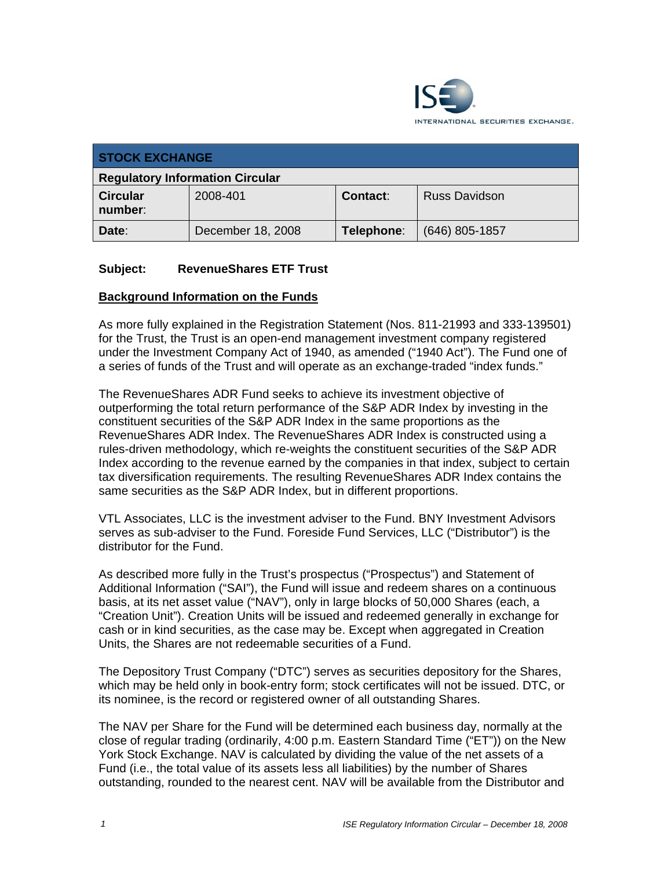

| <b>STOCK EXCHANGE</b>                  |                   |            |                      |
|----------------------------------------|-------------------|------------|----------------------|
| <b>Regulatory Information Circular</b> |                   |            |                      |
| <b>Circular</b><br>number:             | 2008-401          | Contact:   | <b>Russ Davidson</b> |
| Date:                                  | December 18, 2008 | Telephone: | $(646)$ 805-1857     |

#### **Subject: RevenueShares ETF Trust**

#### **Background Information on the Funds**

As more fully explained in the Registration Statement (Nos. 811-21993 and 333-139501) for the Trust, the Trust is an open-end management investment company registered under the Investment Company Act of 1940, as amended ("1940 Act"). The Fund one of a series of funds of the Trust and will operate as an exchange-traded "index funds."

The RevenueShares ADR Fund seeks to achieve its investment objective of outperforming the total return performance of the S&P ADR Index by investing in the constituent securities of the S&P ADR Index in the same proportions as the RevenueShares ADR Index. The RevenueShares ADR Index is constructed using a rules-driven methodology, which re-weights the constituent securities of the S&P ADR Index according to the revenue earned by the companies in that index, subject to certain tax diversification requirements. The resulting RevenueShares ADR Index contains the same securities as the S&P ADR Index, but in different proportions.

VTL Associates, LLC is the investment adviser to the Fund. BNY Investment Advisors serves as sub-adviser to the Fund. Foreside Fund Services, LLC ("Distributor") is the distributor for the Fund.

As described more fully in the Trust's prospectus ("Prospectus") and Statement of Additional Information ("SAI"), the Fund will issue and redeem shares on a continuous basis, at its net asset value ("NAV"), only in large blocks of 50,000 Shares (each, a "Creation Unit"). Creation Units will be issued and redeemed generally in exchange for cash or in kind securities, as the case may be. Except when aggregated in Creation Units, the Shares are not redeemable securities of a Fund.

The Depository Trust Company ("DTC") serves as securities depository for the Shares, which may be held only in book-entry form; stock certificates will not be issued. DTC, or its nominee, is the record or registered owner of all outstanding Shares.

The NAV per Share for the Fund will be determined each business day, normally at the close of regular trading (ordinarily, 4:00 p.m. Eastern Standard Time ("ET")) on the New York Stock Exchange. NAV is calculated by dividing the value of the net assets of a Fund (i.e., the total value of its assets less all liabilities) by the number of Shares outstanding, rounded to the nearest cent. NAV will be available from the Distributor and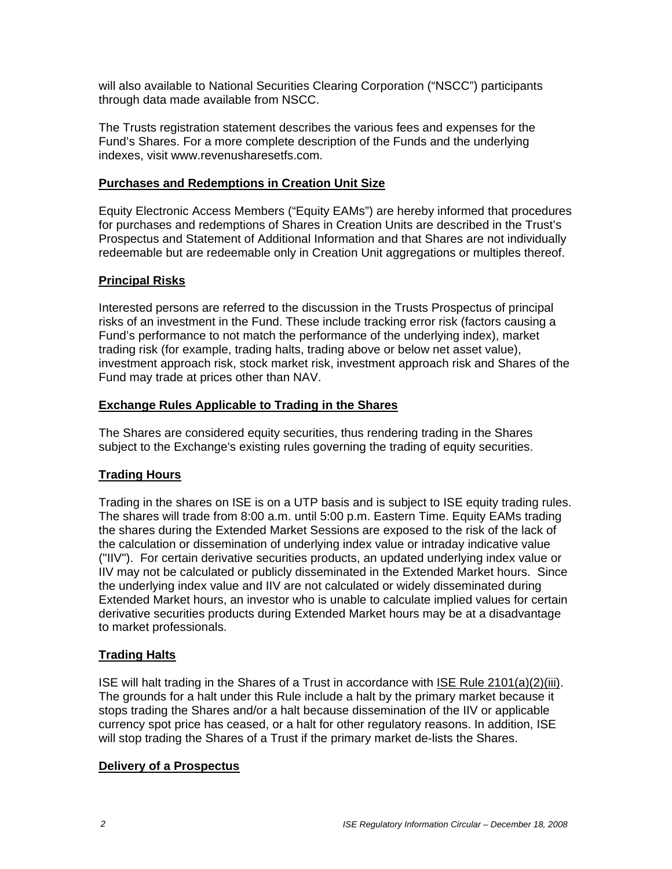will also available to National Securities Clearing Corporation ("NSCC") participants through data made available from NSCC.

The Trusts registration statement describes the various fees and expenses for the Fund's Shares. For a more complete description of the Funds and the underlying indexes, visit www.revenusharesetfs.com.

#### **Purchases and Redemptions in Creation Unit Size**

Equity Electronic Access Members ("Equity EAMs") are hereby informed that procedures for purchases and redemptions of Shares in Creation Units are described in the Trust's Prospectus and Statement of Additional Information and that Shares are not individually redeemable but are redeemable only in Creation Unit aggregations or multiples thereof.

### **Principal Risks**

Interested persons are referred to the discussion in the Trusts Prospectus of principal risks of an investment in the Fund. These include tracking error risk (factors causing a Fund's performance to not match the performance of the underlying index), market trading risk (for example, trading halts, trading above or below net asset value), investment approach risk, stock market risk, investment approach risk and Shares of the Fund may trade at prices other than NAV.

#### **Exchange Rules Applicable to Trading in the Shares**

The Shares are considered equity securities, thus rendering trading in the Shares subject to the Exchange's existing rules governing the trading of equity securities.

# **Trading Hours**

Trading in the shares on ISE is on a UTP basis and is subject to ISE equity trading rules. The shares will trade from 8:00 a.m. until 5:00 p.m. Eastern Time. Equity EAMs trading the shares during the Extended Market Sessions are exposed to the risk of the lack of the calculation or dissemination of underlying index value or intraday indicative value ("IIV"). For certain derivative securities products, an updated underlying index value or IIV may not be calculated or publicly disseminated in the Extended Market hours. Since the underlying index value and IIV are not calculated or widely disseminated during Extended Market hours, an investor who is unable to calculate implied values for certain derivative securities products during Extended Market hours may be at a disadvantage to market professionals.

#### **Trading Halts**

ISE will halt trading in the Shares of a Trust in accordance with ISE Rule 2101(a)(2)(iii). The grounds for a halt under this Rule include a halt by the primary market because it stops trading the Shares and/or a halt because dissemination of the IIV or applicable currency spot price has ceased, or a halt for other regulatory reasons. In addition, ISE will stop trading the Shares of a Trust if the primary market de-lists the Shares.

#### **Delivery of a Prospectus**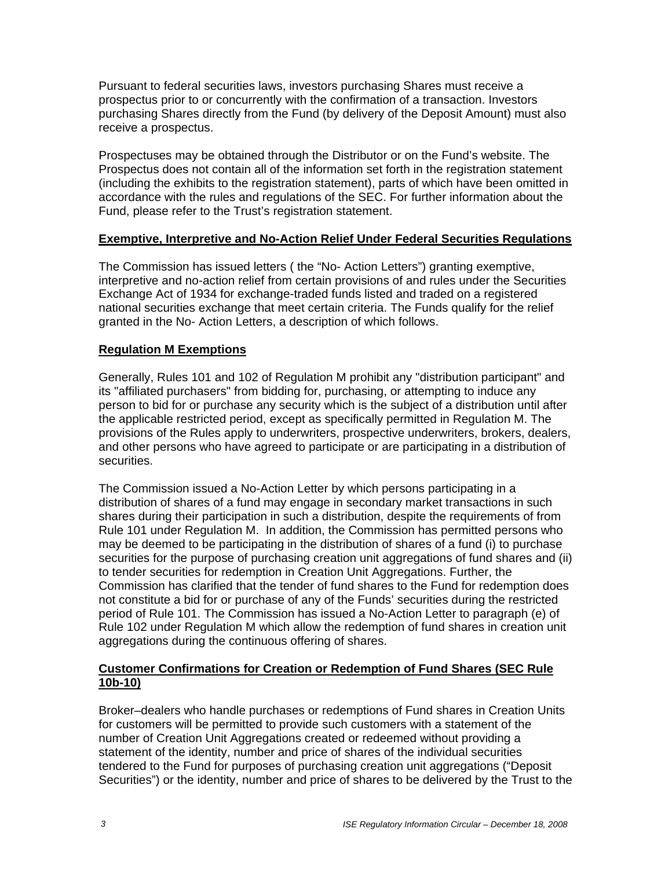Pursuant to federal securities laws, investors purchasing Shares must receive a prospectus prior to or concurrently with the confirmation of a transaction. Investors purchasing Shares directly from the Fund (by delivery of the Deposit Amount) must also receive a prospectus.

Prospectuses may be obtained through the Distributor or on the Fund's website. The Prospectus does not contain all of the information set forth in the registration statement (including the exhibits to the registration statement), parts of which have been omitted in accordance with the rules and regulations of the SEC. For further information about the Fund, please refer to the Trust's registration statement.

#### **Exemptive, Interpretive and No-Action Relief Under Federal Securities Regulations**

The Commission has issued letters ( the "No- Action Letters") granting exemptive, interpretive and no-action relief from certain provisions of and rules under the Securities Exchange Act of 1934 for exchange-traded funds listed and traded on a registered national securities exchange that meet certain criteria. The Funds qualify for the relief granted in the No- Action Letters, a description of which follows.

#### **Regulation M Exemptions**

Generally, Rules 101 and 102 of Regulation M prohibit any "distribution participant" and its "affiliated purchasers" from bidding for, purchasing, or attempting to induce any person to bid for or purchase any security which is the subject of a distribution until after the applicable restricted period, except as specifically permitted in Regulation M. The provisions of the Rules apply to underwriters, prospective underwriters, brokers, dealers, and other persons who have agreed to participate or are participating in a distribution of securities.

The Commission issued a No-Action Letter by which persons participating in a distribution of shares of a fund may engage in secondary market transactions in such shares during their participation in such a distribution, despite the requirements of from Rule 101 under Regulation M. In addition, the Commission has permitted persons who may be deemed to be participating in the distribution of shares of a fund (i) to purchase securities for the purpose of purchasing creation unit aggregations of fund shares and (ii) to tender securities for redemption in Creation Unit Aggregations. Further, the Commission has clarified that the tender of fund shares to the Fund for redemption does not constitute a bid for or purchase of any of the Funds' securities during the restricted period of Rule 101. The Commission has issued a No-Action Letter to paragraph (e) of Rule 102 under Regulation M which allow the redemption of fund shares in creation unit aggregations during the continuous offering of shares.

#### **Customer Confirmations for Creation or Redemption of Fund Shares (SEC Rule 10b-10)**

Broker–dealers who handle purchases or redemptions of Fund shares in Creation Units for customers will be permitted to provide such customers with a statement of the number of Creation Unit Aggregations created or redeemed without providing a statement of the identity, number and price of shares of the individual securities tendered to the Fund for purposes of purchasing creation unit aggregations ("Deposit Securities") or the identity, number and price of shares to be delivered by the Trust to the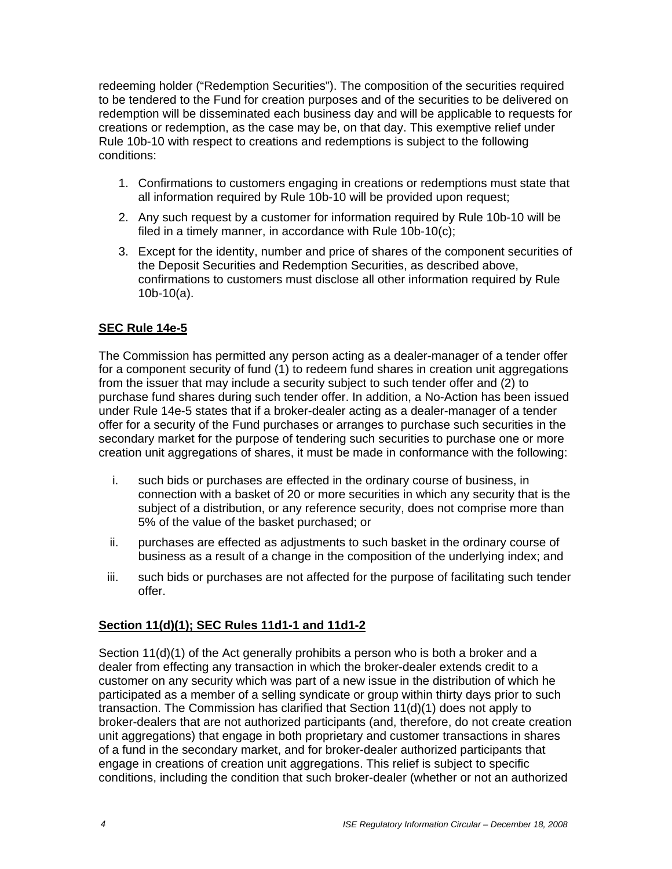redeeming holder ("Redemption Securities"). The composition of the securities required to be tendered to the Fund for creation purposes and of the securities to be delivered on redemption will be disseminated each business day and will be applicable to requests for creations or redemption, as the case may be, on that day. This exemptive relief under Rule 10b-10 with respect to creations and redemptions is subject to the following conditions:

- 1. Confirmations to customers engaging in creations or redemptions must state that all information required by Rule 10b-10 will be provided upon request;
- 2. Any such request by a customer for information required by Rule 10b-10 will be filed in a timely manner, in accordance with Rule 10b-10(c);
- 3. Except for the identity, number and price of shares of the component securities of the Deposit Securities and Redemption Securities, as described above, confirmations to customers must disclose all other information required by Rule 10b-10(a).

# **SEC Rule 14e-5**

The Commission has permitted any person acting as a dealer-manager of a tender offer for a component security of fund (1) to redeem fund shares in creation unit aggregations from the issuer that may include a security subject to such tender offer and (2) to purchase fund shares during such tender offer. In addition, a No-Action has been issued under Rule 14e-5 states that if a broker-dealer acting as a dealer-manager of a tender offer for a security of the Fund purchases or arranges to purchase such securities in the secondary market for the purpose of tendering such securities to purchase one or more creation unit aggregations of shares, it must be made in conformance with the following:

- i. such bids or purchases are effected in the ordinary course of business, in connection with a basket of 20 or more securities in which any security that is the subject of a distribution, or any reference security, does not comprise more than 5% of the value of the basket purchased; or
- ii. purchases are effected as adjustments to such basket in the ordinary course of business as a result of a change in the composition of the underlying index; and
- iii. such bids or purchases are not affected for the purpose of facilitating such tender offer.

#### **Section 11(d)(1); SEC Rules 11d1-1 and 11d1-2**

Section 11(d)(1) of the Act generally prohibits a person who is both a broker and a dealer from effecting any transaction in which the broker-dealer extends credit to a customer on any security which was part of a new issue in the distribution of which he participated as a member of a selling syndicate or group within thirty days prior to such transaction. The Commission has clarified that Section 11(d)(1) does not apply to broker-dealers that are not authorized participants (and, therefore, do not create creation unit aggregations) that engage in both proprietary and customer transactions in shares of a fund in the secondary market, and for broker-dealer authorized participants that engage in creations of creation unit aggregations. This relief is subject to specific conditions, including the condition that such broker-dealer (whether or not an authorized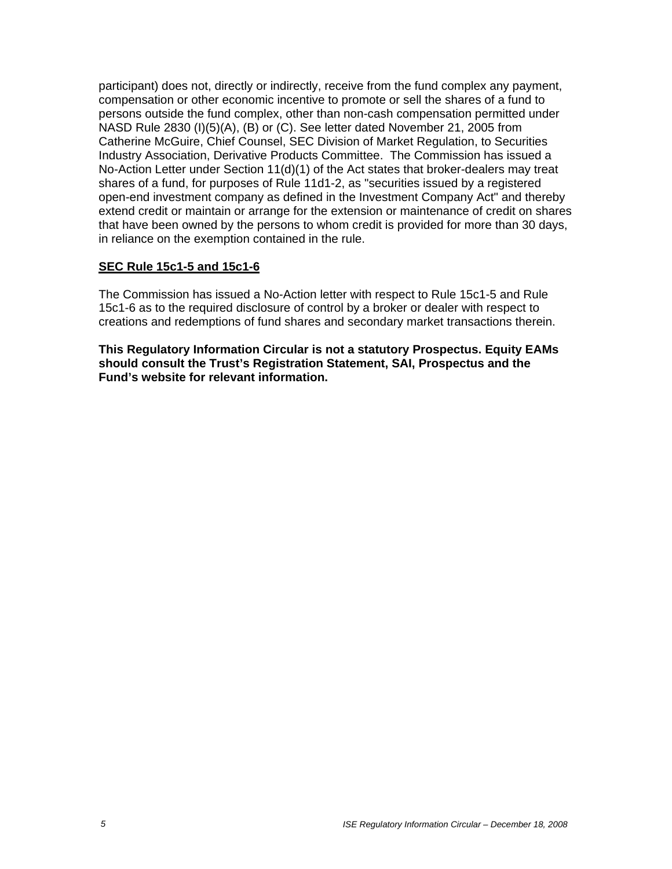participant) does not, directly or indirectly, receive from the fund complex any payment, compensation or other economic incentive to promote or sell the shares of a fund to persons outside the fund complex, other than non-cash compensation permitted under NASD Rule 2830 (I)(5)(A), (B) or (C). See letter dated November 21, 2005 from Catherine McGuire, Chief Counsel, SEC Division of Market Regulation, to Securities Industry Association, Derivative Products Committee. The Commission has issued a No-Action Letter under Section 11(d)(1) of the Act states that broker-dealers may treat shares of a fund, for purposes of Rule 11d1-2, as "securities issued by a registered open-end investment company as defined in the Investment Company Act" and thereby extend credit or maintain or arrange for the extension or maintenance of credit on shares that have been owned by the persons to whom credit is provided for more than 30 days, in reliance on the exemption contained in the rule.

#### **SEC Rule 15c1-5 and 15c1-6**

The Commission has issued a No-Action letter with respect to Rule 15c1-5 and Rule 15c1-6 as to the required disclosure of control by a broker or dealer with respect to creations and redemptions of fund shares and secondary market transactions therein.

**This Regulatory Information Circular is not a statutory Prospectus. Equity EAMs should consult the Trust's Registration Statement, SAI, Prospectus and the Fund's website for relevant information.**